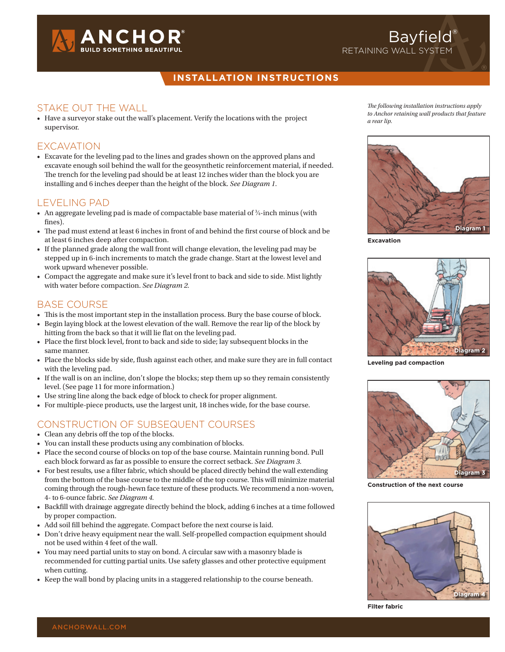

#### **installation instructions**

#### Stake out the wall

• Have a surveyor stake out the wall's placement. Verify the locations with the project supervisor.

#### **EXCAVATION**

• Excavate for the leveling pad to the lines and grades shown on the approved plans and excavate enough soil behind the wall for the geosynthetic reinforcement material, if needed. The trench for the leveling pad should be at least 12 inches wider than the block you are installing and 6 inches deeper than the height of the block. *See Diagram 1.*

#### Leveling pad

- An aggregate leveling pad is made of compactable base material of  $\frac{3}{4}$ -inch minus (with fines).
- • The pad must extend at least 6 inches in front of and behind the first course of block and be at least 6 inches deep after compaction.
- If the planned grade along the wall front will change elevation, the leveling pad may be stepped up in 6-inch increments to match the grade change. Start at the lowest level and work upward whenever possible.
- Compact the aggregate and make sure it's level front to back and side to side. Mist lightly with water before compaction. *See Diagram 2.*

#### Base Course

- This is the most important step in the installation process. Bury the base course of block.
- • Begin laying block at the lowest elevation of the wall. Remove the rear lip of the block by hitting from the back so that it will lie flat on the leveling pad.
- • Place the first block level, front to back and side to side; lay subsequent blocks in the same manner.
- • Place the blocks side by side, flush against each other, and make sure they are in full contact with the leveling pad.
- If the wall is on an incline, don't slope the blocks; step them up so they remain consistently level. (See page 11 for more information.)
- Use string line along the back edge of block to check for proper alignment.
- For multiple-piece products, use the largest unit, 18 inches wide, for the base course.

## Construction of subsequent courses

- • Clean any debris off the top of the blocks.
- You can install these products using any combination of blocks.
- Place the second course of blocks on top of the base course. Maintain running bond. Pull each block forward as far as possible to ensure the correct setback. *See Diagram 3.*
- • For best results, use a filter fabric, which should be placed directly behind the wall extending from the bottom of the base course to the middle of the top course. This will minimize material coming through the rough-hewn face texture of these products. We recommend a non-woven, 4- to 6-ounce fabric. *See Diagram 4.*
- • Backfill with drainage aggregate directly behind the block, adding 6 inches at a time followed by proper compaction.
- • Add soil fill behind the aggregate. Compact before the next course is laid.
- Don't drive heavy equipment near the wall. Self-propelled compaction equipment should not be used within 4 feet of the wall.
- • You may need partial units to stay on bond. A circular saw with a masonry blade is recommended for cutting partial units. Use safety glasses and other protective equipment when cutting.
- • Keep the wall bond by placing units in a staggered relationship to the course beneath.

*The following installation instructions apply to Anchor retaining wall products that feature a rear lip.* 

Bayfield<sup>®</sup>

retaining wall system



**Excavation**



**Leveling pad compaction**



**Construction of the next course**



**Filter fabric**